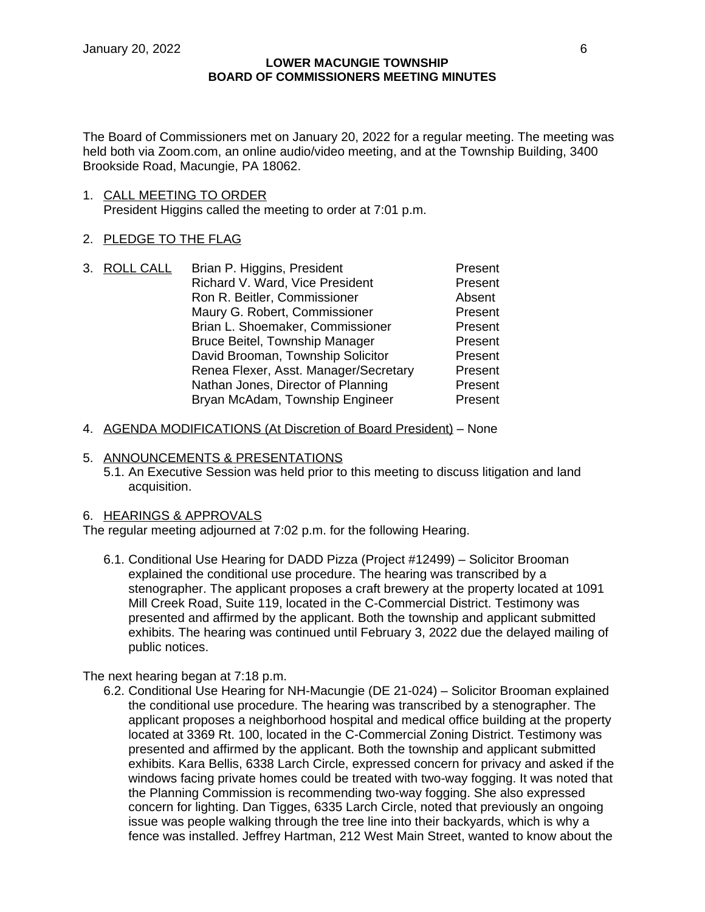The Board of Commissioners met on January 20, 2022 for a regular meeting. The meeting was held both via Zoom.com, an online audio/video meeting, and at the Township Building, 3400 Brookside Road, Macungie, PA 18062.

- 1. CALL MEETING TO ORDER President Higgins called the meeting to order at 7:01 p.m.
- 2. PLEDGE TO THE FLAG
- 3. ROLL CALL Brian P. Higgins, President Present Richard V. Ward, Vice President Present Ron R. Beitler, Commissioner **Absent** Maury G. Robert, Commissioner **Present** Brian L. Shoemaker, Commissioner Present Bruce Beitel, Township Manager Present David Brooman, Township Solicitor Present Renea Flexer, Asst. Manager/Secretary Present Nathan Jones, Director of Planning Present Bryan McAdam, Township Engineer Present
- 4. AGENDA MODIFICATIONS (At Discretion of Board President) None
- 5. ANNOUNCEMENTS & PRESENTATIONS
	- 5.1. An Executive Session was held prior to this meeting to discuss litigation and land acquisition.

### 6. HEARINGS & APPROVALS

The regular meeting adjourned at 7:02 p.m. for the following Hearing.

6.1. Conditional Use Hearing for DADD Pizza (Project #12499) – Solicitor Brooman explained the conditional use procedure. The hearing was transcribed by a stenographer. The applicant proposes a craft brewery at the property located at 1091 Mill Creek Road, Suite 119, located in the C-Commercial District. Testimony was presented and affirmed by the applicant. Both the township and applicant submitted exhibits. The hearing was continued until February 3, 2022 due the delayed mailing of public notices.

The next hearing began at 7:18 p.m.

6.2. Conditional Use Hearing for NH-Macungie (DE 21-024) – Solicitor Brooman explained the conditional use procedure. The hearing was transcribed by a stenographer. The applicant proposes a neighborhood hospital and medical office building at the property located at 3369 Rt. 100, located in the C-Commercial Zoning District. Testimony was presented and affirmed by the applicant. Both the township and applicant submitted exhibits. Kara Bellis, 6338 Larch Circle, expressed concern for privacy and asked if the windows facing private homes could be treated with two-way fogging. It was noted that the Planning Commission is recommending two-way fogging. She also expressed concern for lighting. Dan Tigges, 6335 Larch Circle, noted that previously an ongoing issue was people walking through the tree line into their backyards, which is why a fence was installed. Jeffrey Hartman, 212 West Main Street, wanted to know about the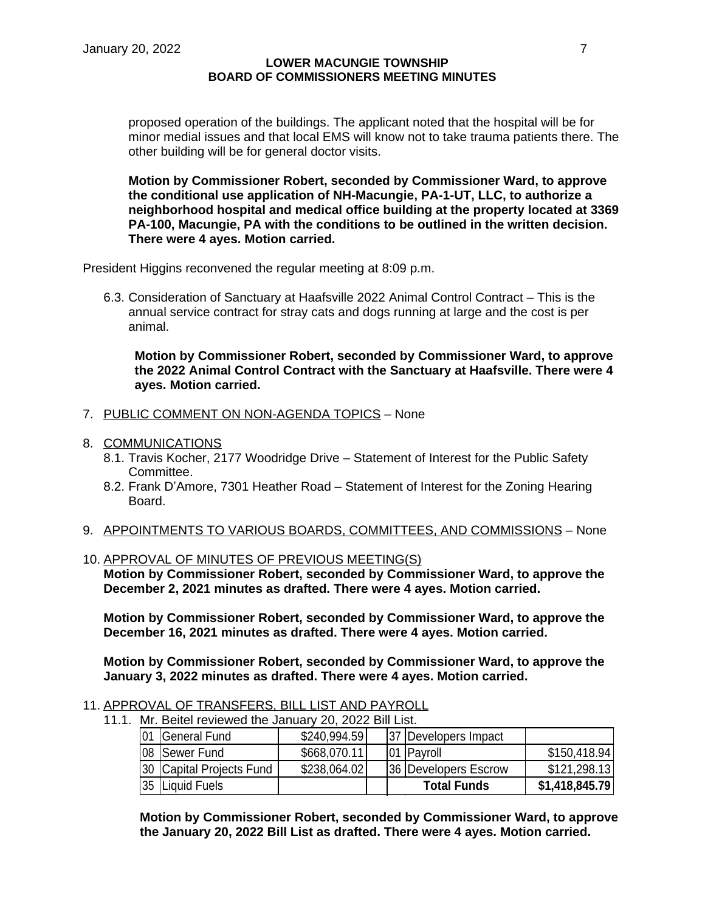proposed operation of the buildings. The applicant noted that the hospital will be for minor medial issues and that local EMS will know not to take trauma patients there. The other building will be for general doctor visits.

**Motion by Commissioner Robert, seconded by Commissioner Ward, to approve the conditional use application of NH-Macungie, PA-1-UT, LLC, to authorize a neighborhood hospital and medical office building at the property located at 3369 PA-100, Macungie, PA with the conditions to be outlined in the written decision. There were 4 ayes. Motion carried.**

President Higgins reconvened the regular meeting at 8:09 p.m.

6.3. Consideration of Sanctuary at Haafsville 2022 Animal Control Contract – This is the annual service contract for stray cats and dogs running at large and the cost is per animal.

**Motion by Commissioner Robert, seconded by Commissioner Ward, to approve the 2022 Animal Control Contract with the Sanctuary at Haafsville. There were 4 ayes. Motion carried.**

- 7. PUBLIC COMMENT ON NON-AGENDA TOPICS None
- 8. COMMUNICATIONS
	- 8.1. Travis Kocher, 2177 Woodridge Drive Statement of Interest for the Public Safety Committee.
	- 8.2. Frank D'Amore, 7301 Heather Road Statement of Interest for the Zoning Hearing Board.
- 9. APPOINTMENTS TO VARIOUS BOARDS, COMMITTEES, AND COMMISSIONS None
- 10. APPROVAL OF MINUTES OF PREVIOUS MEETING(S)

**Motion by Commissioner Robert, seconded by Commissioner Ward, to approve the December 2, 2021 minutes as drafted. There were 4 ayes. Motion carried.**

**Motion by Commissioner Robert, seconded by Commissioner Ward, to approve the December 16, 2021 minutes as drafted. There were 4 ayes. Motion carried.**

**Motion by Commissioner Robert, seconded by Commissioner Ward, to approve the January 3, 2022 minutes as drafted. There were 4 ayes. Motion carried.**

- 11. APPROVAL OF TRANSFERS, BILL LIST AND PAYROLL
	- 11.1. Mr. Beitel reviewed the January 20, 2022 Bill List.

| General Fund             | \$240,994.59 | 37 Developers Impact |                |
|--------------------------|--------------|----------------------|----------------|
| 08 Sewer Fund            | \$668,070.11 | 01 Payroll           | \$150,418.94   |
| 30 Capital Projects Fund | \$238,064.02 | 36 Developers Escrow | \$121,298.13   |
| 35 Liquid Fuels          |              | <b>Total Funds</b>   | \$1,418,845.79 |

**Motion by Commissioner Robert, seconded by Commissioner Ward, to approve the January 20, 2022 Bill List as drafted. There were 4 ayes. Motion carried.**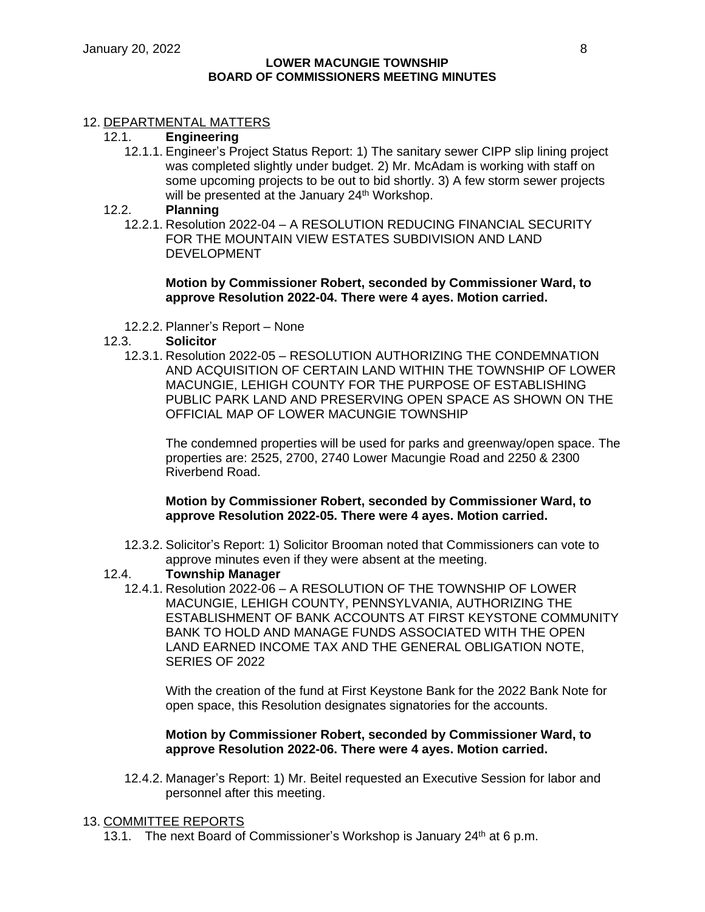# 12. DEPARTMENTAL MATTERS

## 12.1. **Engineering**

12.1.1. Engineer's Project Status Report: 1) The sanitary sewer CIPP slip lining project was completed slightly under budget. 2) Mr. McAdam is working with staff on some upcoming projects to be out to bid shortly. 3) A few storm sewer projects will be presented at the January 24<sup>th</sup> Workshop.

# 12.2. **Planning**

12.2.1. Resolution 2022-04 – A RESOLUTION REDUCING FINANCIAL SECURITY FOR THE MOUNTAIN VIEW ESTATES SUBDIVISION AND LAND DEVELOPMENT

## **Motion by Commissioner Robert, seconded by Commissioner Ward, to approve Resolution 2022-04. There were 4 ayes. Motion carried.**

12.2.2. Planner's Report – None

# 12.3. **Solicitor**

12.3.1. Resolution 2022-05 – RESOLUTION AUTHORIZING THE CONDEMNATION AND ACQUISITION OF CERTAIN LAND WITHIN THE TOWNSHIP OF LOWER MACUNGIE, LEHIGH COUNTY FOR THE PURPOSE OF ESTABLISHING PUBLIC PARK LAND AND PRESERVING OPEN SPACE AS SHOWN ON THE OFFICIAL MAP OF LOWER MACUNGIE TOWNSHIP

The condemned properties will be used for parks and greenway/open space. The properties are: 2525, 2700, 2740 Lower Macungie Road and 2250 & 2300 Riverbend Road.

# **Motion by Commissioner Robert, seconded by Commissioner Ward, to approve Resolution 2022-05. There were 4 ayes. Motion carried.**

12.3.2. Solicitor's Report: 1) Solicitor Brooman noted that Commissioners can vote to approve minutes even if they were absent at the meeting.

# 12.4. **Township Manager**

12.4.1. Resolution 2022-06 – A RESOLUTION OF THE TOWNSHIP OF LOWER MACUNGIE, LEHIGH COUNTY, PENNSYLVANIA, AUTHORIZING THE ESTABLISHMENT OF BANK ACCOUNTS AT FIRST KEYSTONE COMMUNITY BANK TO HOLD AND MANAGE FUNDS ASSOCIATED WITH THE OPEN LAND EARNED INCOME TAX AND THE GENERAL OBLIGATION NOTE, SERIES OF 2022

With the creation of the fund at First Keystone Bank for the 2022 Bank Note for open space, this Resolution designates signatories for the accounts.

## **Motion by Commissioner Robert, seconded by Commissioner Ward, to approve Resolution 2022-06. There were 4 ayes. Motion carried.**

12.4.2. Manager's Report: 1) Mr. Beitel requested an Executive Session for labor and personnel after this meeting.

### 13. COMMITTEE REPORTS

13.1. The next Board of Commissioner's Workshop is January  $24<sup>th</sup>$  at 6 p.m.